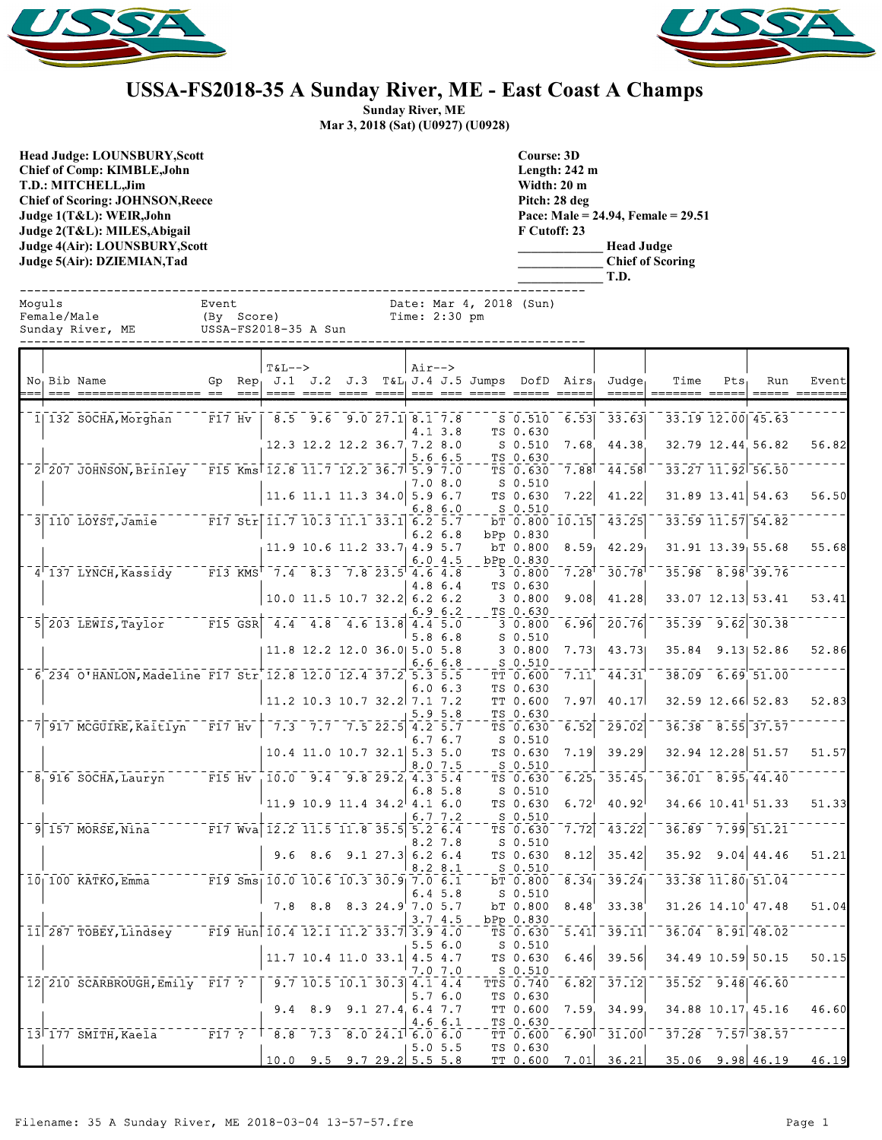



## **USSA-FS2018-35 A Sunday River, ME - East Coast A Champs**

**Sunday River, ME Mar 3, 2018 (Sat) (U0927) (U0928)**

**Head Judge: LOUNSBURY,Scott Chief of Comp: KIMBLE,John T.D.: MITCHELL,Jim Chief of Scoring: JOHNSON,Reece Judge 1(T&L): WEIR,John Judge 2(T&L): MILES,Abigail Judge 4(Air): LOUNSBURY,Scott Judge 5(Air): DZIEMIAN,Tad** 

**Course: 3D Length: 242 m Width: 20 m Pitch: 28 deg Pace: Male = 24.94, Female = 29.51 F Cutoff: 23 \_\_\_\_\_\_\_\_\_\_\_\_\_ Head Judge**

**\_\_\_\_\_\_\_\_\_\_\_\_\_ Chief of Scoring \_\_\_\_\_\_\_\_\_\_\_\_\_ T.D.**

| Moquls | Female/Male | Sunday River, ME USSA-FS2018-35 A Sun                        | Event | (By Score) |                                                                      |         | Time: $2:30$ pm    | Date: Mar 4, 2018 (Sun) |                                  |                     |                                                                                                 |                   |                                              |     |       |
|--------|-------------|--------------------------------------------------------------|-------|------------|----------------------------------------------------------------------|---------|--------------------|-------------------------|----------------------------------|---------------------|-------------------------------------------------------------------------------------------------|-------------------|----------------------------------------------|-----|-------|
|        |             | No Bib Name                                                  |       | $T&L-->$   |                                                                      | $Air--$ |                    |                         |                                  |                     | Gp $Rep_1$ J.1 J.2 J.3 T&L <sub>1</sub> J.4 J.5 Jumps DofD Airs <sub>1</sub> Judge <sub>1</sub> | Time              | $Pts_{\perp}$                                | Run | Event |
|        |             | 1 132 SOCHA, Morghan                                         |       |            | F17 Hv   $8.5$ 9.6 9.0 27.1 8.1 7.8                                  |         | 4.13.8             |                         | $S$ $0.510$<br>TS 0.630          | 6.53                | 33.63                                                                                           |                   | 33.19 12.00 45.63                            |     |       |
|        |             |                                                              |       |            | $12.3$ 12.2 12.2 36.7 7.2 8.0                                        |         | 5.66.5             |                         | $S_0.510$<br>TS 0.630            |                     | 7.68 44.38                                                                                      |                   | 32.79 12.44 56.82                            |     | 56.82 |
|        |             | 2 207 JOHNSON, Brinley F15 Kms 12.8 11.7 12.2 36.7 5.9 7.0   |       |            |                                                                      |         | 7.0 8.0            |                         | TS 0.630<br>S 0.510              |                     | 7.88 44.58                                                                                      |                   | $33.27$ $11.92$ $56.50$                      |     |       |
|        |             |                                                              |       |            | $11.6$ 11.1 11.3 34.0 5.9 6.7                                        |         | 6.8 6.0            |                         | TS 0.630<br>S 0.510              | 7.22                | 41.22                                                                                           |                   | $31.89$ 13.41 54.63                          |     | 56.50 |
|        |             | 3 110 LOYST, Jamie 77 F17 Str 11.7 10.3 11.1 33.1 6.2 5.7    |       |            | $11.9$ 10.6 11.2 33.7 4.9 5.7                                        |         | $6.2\;6.8$         |                         | bPp 0.830<br>bT 0.800            | 8.59 <sub>1</sub>   | $5T 0.800 10.15$ 43.25<br>42.29                                                                 |                   | 33.59 11.57 54.82<br>$31.91$ $13.39$ $55.68$ |     | 55.68 |
|        |             | $4^{\dagger}$ 137 LYNCH, Kassidy                             |       |            | F13 KMS 7.4 8.3 7.8 23.5 4.6 4.8                                     |         | 6.04.5             |                         | bPp 0.830<br>30.800              | $7.28$ <sup>T</sup> | 30.78                                                                                           |                   | $35.98$ $8.98$ $39.76$                       |     |       |
|        |             |                                                              |       |            | 10.0 11.5 10.7 32.2 6.2 6.2                                          |         | 4.8 6.4            |                         | TS 0.630<br>30.800               | 9.08                | 41.28                                                                                           |                   | $33.07$ 12.13 53.41                          |     | 53.41 |
|        |             | 5 203 LEWIS, Taylor                                          |       |            | $F = F15$ GSR $4.4$ $4.8$ $4.6$ 13.8 $4.4$ 5.0                       |         | 6.96.2<br>5.86.8   |                         | TS 0.630<br>30.800<br>$S$ 0.510  | $\bar{6.96}$        | 20.76                                                                                           |                   | $35.39 - 9.62$ 30.38                         |     |       |
|        |             |                                                              |       |            | 11.8 12.2 12.0 36.0 5.0 5.8                                          |         | 6.66.8             |                         | 30.800<br>S 0.510                | 7.73                | 43.73                                                                                           |                   | 35.84 9.13 52.86                             |     | 52.86 |
|        |             | 6 234 O'HANLON, Madeline F17 Str 12.8 12.0 12.4 37.2 5.3 5.5 |       |            |                                                                      |         | 6.06.3             |                         | TT 0.600<br>TS 0.630             | 7.11                | 44.31                                                                                           |                   | $38.09$ 6.69 51.00                           |     |       |
|        |             | 7 917 MCGUIRE, Kaitlyn F17 Hv                                |       |            | 11.2 10.3 10.7 32.2 7.1 7.2<br>$7.3$ $7.7$ $7.5$ 22.5 4.2 5.7        |         | 5.9 5.8            |                         | TT 0.600<br>TS 0.630<br>TS 0.630 | 6.52                | $7.97$ 40.17<br>29.02                                                                           |                   | 32.59 12.66 52.83<br>$36.38$ $8.55$ 37.57    |     | 52.83 |
|        |             |                                                              |       |            | $10.4$ 11.0 10.7 32.1 5.3 5.0                                        |         | 6.76.7             |                         | $S_0.510$<br>TS 0.630            | 7.19                | 39.29                                                                                           |                   | 32.94 12.28 51.57                            |     | 51.57 |
|        |             | 8 916 SOCHA, Lauryn                                          |       |            | $F15$ Hv $10.0$ 9.4 9.8 29.2 4.3 5.4                                 |         | 8.0 7.5            |                         | S 0.510<br>TS 0.630              |                     | $6.25 - 35.45$                                                                                  |                   | $36.01$ $8.95$ $44.40$                       |     |       |
|        |             |                                                              |       |            | $11.9$ 10.9 11.4 34.2 4.1 6.0                                        |         | 6.8 5.8<br>6.7 7.2 |                         | $S$ 0.510<br>TS 0.630<br>S 0.510 | 6.72                | 40.92                                                                                           |                   | $34.66$ 10.41 51.33                          |     | 51.33 |
|        |             | 9 157 MORSE, Nina F17 Wva 12.2 11.5 11.8 35.5 5.2 6.4        |       |            |                                                                      |         | 8.2 7.8            |                         | TS 0.630<br>$S_0.510$            | 7.72                | 43.22                                                                                           |                   | $36.89 - 7.99 - 51.21$                       |     |       |
|        |             | $F19$ Sms 10.0 10.6 10.3 30.9 7.0 6.1                        |       |            | 9.6 8.6 9.1 27.3 6.2 6.4                                             |         | 8.28.1             |                         | TS 0.630<br>S 0.510              | 8.12                | 35.42<br>$bT$ 0.800 8.34 39.24                                                                  |                   | $35.92$ 9.04 44.46<br>33.38 11.80 51.04      |     | 51.21 |
|        |             | $10$   100 KATKO, Emma                                       |       |            | $7.8$ 8.8 8.3 24.9 7.0 5.7                                           |         | 6.4 5.8            |                         | $S$ 0.510<br>bT 0.800            | 8.48                | 33.38                                                                                           |                   | 31.26 14.10 47.48                            |     | 51.04 |
|        |             | $11$ 287 TOBEY, Lindsey F19 Hun 10.4 12.1 11.2 33.7 3.9 4.0  |       |            |                                                                      |         | 3.74.5             |                         | bPp 0.830                        |                     |                                                                                                 |                   |                                              |     |       |
|        |             |                                                              |       |            | $11.7$ 10.4 11.0 33.1 4.5 4.7                                        |         | 5.5 6.0<br>7.07.0  |                         | S 0.510<br>TS 0.630<br>$S_0.510$ | 6.46                | 39.56                                                                                           |                   | 34.49 10.59 50.15                            |     | 50.15 |
|        |             | 12 210 SCARBROUGH, Emily F17 ?                               |       |            | $\begin{bmatrix} 9.7 & 10.5 & 10.1 & 30.3 & 4.1 & 4.4 \end{bmatrix}$ |         | 5.76.0             |                         | TTS 0.740<br>TS 0.630            | 6.82                | $-37.12$                                                                                        |                   | $35.52 - 9.48$ 46.60                         |     |       |
|        |             |                                                              |       |            | $9.4$ 8.9 9.1 27.4 6.4 7.7                                           |         | 4.6 6.1            |                         | TT 0.600<br>TS 0.630             |                     | 7.59, 34.99                                                                                     | 34.88 10.17 45.16 |                                              |     | 46.60 |
|        |             | 13 177 SMITH, Kaela                                          |       |            | $F17$ ? $8.8$ 7.3 8.0 24.1 6.0 6.0<br>$10.0$ 9.5 9.7 29.2 5.5 5.8    |         | 5.05.5             |                         | TT 0.600<br>TS 0.630             |                     | $6.90$ <sup><math>-31.00</math></sup><br>TT 0.600 7.01 36.21                                    |                   | $37.28$ $7.57$ $38.57$<br>$35.06$ 9.98 46.19 |     | 46.19 |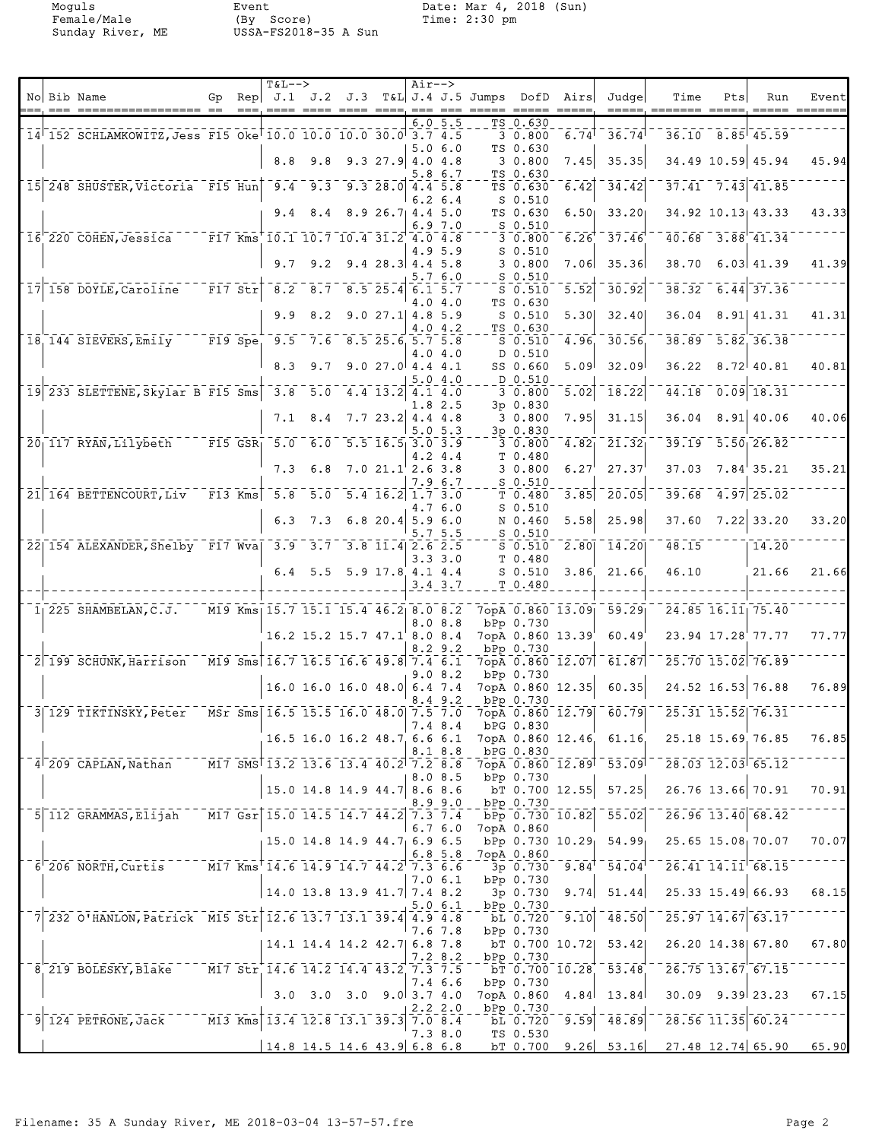Moguls Event Date: Mar 4, 2018 (Sun)<br>Female/Male (By Score) Time: 2:30 pm<br>Sunday River, ME USSA-FS2018-35 A Sun Female/Male (By Score) Time: 2:30 pm Sunday River, ME USSA-FS2018-35 A Sun

| No Bib Name<br>Rep $J.1$ $J.2$ $J.3$ $T\&L$ $J.4$ $J.5$ Jumps<br>DofD<br>Airs<br>Judgel<br>Time<br>Pts<br>Run<br>Gp<br>$==$<br>$= = = =$<br>---- ---- ----, --- ---<br>$\qquad \qquad \doteq\qquad \qquad \doteq\qquad \qquad$<br>$=$ $=$ $=$ $=$<br>$\qquad \qquad \qquad =\qquad \qquad$<br>$\qquad \qquad \doteq \qquad \qquad \doteq \qquad \qquad$<br>=======<br>6.05.5<br>TS 0.630<br>30.800<br>$36.10$ $8.85$ 45.59<br>14 152 SCHLAMKOWITZ, Jess F15 Oke 10.0 10.0 10.0 30.0 3.7 4.5<br>6.74<br>36.74<br>5.06.0<br>TS 0.630<br>8.8<br>9.8<br>$9.3$ 27.9 4.0 4.8<br>34.49 10.59 45.94<br>30.800<br>7.45<br>35.35<br>TS 0.630<br>5.8 6.7<br>$37.41$ $7.43$ $41.85$<br>15 248 SHUSTER, Victoria F15 Hun 9.4 9.3 9.3 28.0 4.4 5.8<br>TS 0.630<br>6.42<br>$-34.42$<br>$6.2\;6.4$<br>$S_0.510$<br>8.926.714.45.0<br>TS 0.630<br>6.50 <sub>1</sub><br>33.20<br>34.92 10.13 43.33<br>9.4<br>8.4<br>6.97.0<br>$S$ 0.510<br>$40.68$ $3.88$ $41.34$<br>$-37.46$<br>16 220 COHEN, Jessica<br>F17 Kms 10.1 10.7 10.4 31.2 4.0 4.8<br>30.800<br>6.26<br>S <sub>0.510</sub><br>4.9 5.9<br>9.2<br>$9.4$ 28.3 4.4 5.8<br>30.800<br>7.06<br>35.36<br>38.70<br>$6.03 \mid 41.39$<br>9.7<br>5.7 6.0<br>$S_0.510$<br>$\bar{r}$ $\bar{r}$ $\bar{z}$ $\bar{z}$ $\bar{r}$ $\vert$<br>38.32<br>$6.44$ 37.36<br>17 158 DOYLE, Caroline<br>8.2<br>$\overline{8.7}$ $\overline{8.5}$ 25.4 6.1 5.7<br>5.52<br>30.92<br>$S$ $0.510$<br>TS 0.630<br>4.0 4.0<br>5.30<br>32.40<br>8.91 41.31<br>9.9<br>8.2<br>$9.027.1$ 4.8 5.9<br>$S_0.510$<br>36.04<br>4.0 4.2<br>TS 0.630<br>18 144 SIEVERS, Emily F19 Spe 9.5 7.6 8.5 25.6 5.7 5.8<br>$-5.82, 36.38$<br>4.96.<br>30.56<br>38.89<br>$S_0.510$<br>D 0.510<br>4.04.0<br>8.3<br>9.7<br>9.027.04.44.1<br>5.09 <sup>1</sup><br>32.09<br>36.22<br>8.72 40.81<br>SS 0.660<br>D 0.510<br>5.04.0<br>$0.09$ 18.31<br>19 233 SLETTENE, Skylar B F15 Sms<br>5.0<br>3.8<br>5.02<br>44.18<br>4.4 13.2 4.1 4.0<br>3 0.800<br>18.22<br>1.8 2.5<br>3p0.830<br>7.95<br>$8.91$ 40.06<br>30.800<br>31.15<br>36.04<br>8.4<br>$7.7$ 23.2 4.4 4.8<br>7.1<br>5.05.3<br>3p 0.830<br>$-F15$ GSR <sub>1</sub> 5.0<br>$-5.50$ 26.82<br>20 117 RYAN, Lilybeth<br>6.0<br>$5.5$ $16.5$ 3.0 3.9<br>4.82 <sub>1</sub><br>21.32<br>39.19<br>3 0.800<br>4.2 4.4<br>T 0.480<br>7.021.12.63.8<br>3 0.800<br>6.27<br>27.37<br>37.03<br>7.84'35.21<br>7.3<br>6.8<br>7.9 6.7<br>S 0.510<br>21 164 BETTENCOURT, Liv F13 Kms<br>5.8<br>5.0<br>$5.4$ 16.2 1.7 3.0<br>20.05<br>39.68<br>$4.97$ 25.02<br>T 0.480<br>3.85<br>4.7 6.0<br>S 0.510<br>$7.22$ 33.20<br>$6.8$ 20.4 5.9 6.0<br>5.58<br>25.98<br>37.60<br>6.3<br>7.3<br>N 0.460<br>5.7 5.5<br>$S_0.510$<br>22 154 ALEXANDER, Shelby F17 Wva 3.9 3.7 3.8 11.4 2.6 2.5<br>14.20<br>48.15<br>14.20<br>$S_0.510$<br>2.80<br>$3.3 \, 3.0$<br>T 0.480<br>46.10<br>$6.4$ 5.5 5.9 17.8 4.1 4.4<br>$S_0.510$<br>3.86<br>21.66<br>21.66<br>T 0.480<br>$3.4 \, 3.7$<br>24.85 16.11 75.40<br>$1$   225 SHAMBELAN, C.J.<br>M19 Kms 15.7 15.1 15.4 46.2 8.0 8.2<br>7opA 0.860 13.09<br>59.29<br>8.08.8<br>bPp 0.730<br>7opA 0.860 13.39<br>60.49<br>23.94 17.28 77.77<br>16.2 15.2 15.7 47.1 8.0 8.4<br>8.29.2<br>bPp 0.730<br>2 199 SCHUNK, Harrison M19 Sms 16.7 16.5 16.6 49.8 7.4 6.1<br>25.70 15.02 76.89<br>7opA 0.860 12.07<br>61.87<br>9.0 8.2<br>bPp 0.730<br>24.52 16.53 76.88<br>60.35<br>16.0 16.0 16.0 48.0 6.4 7.4<br>7opA 0.860 12.35<br>$8.4$ 9.2<br>bPp 0.730<br>3 129 TIKTINSKY, Peter MSr Sms 16.5 15.5 16.0 48.0 7.5 7.0<br>7opA 0.860 12.79 60.79<br>25.31 15.52 76.31<br>7.4 8.4<br>bPG 0.830<br>7opA 0.860 12.46 61.16 25.18 15.69 76.85<br>16.5 16.0 16.2 48.7 6.6 6.1<br>8.1 8.8<br>bPG 0.830<br>$-4$ 209 CAPLAN, Nathan $-$ M17 SMS 13.2 13.6 13.4 40.2 7.2 8.8 7opA 0.860 12.89 53.09 $-$ 28.03 12.03 65.12<br>bPp 0.730<br>8.08.5<br>$\overline{\text{DT}}$ 0.700 12.55 57.25 26.76 13.66 70.91<br>$15.0$ 14.8 14.9 44.7 8.6 8.6<br>8.9 9.0<br>bPp 0.730<br>$\overline{b}$ Pp 0.730 10.82 55.02 $\overline{26.96}$ 13.40 68.42<br>5 112 GRAMMAS, Elijah M17 Gsr 15.0 14.5 14.7 44.2 7.3 7.4<br>7opA 0.860<br>$6.7\,6.0$<br>$bPp$ 0.730 10.29 54.99 25.65 15.08 70.07<br>15.0 14.8 14.9 44.7 6.9 6.5<br>$6.8 - 5.8$<br>7opA 0.860<br>$-6$ 206 NORTH, Curtis M17 Kms 14.6 14.9 14.7 44.2 7.3 6.6<br>$3p$ 0.730 9.84 54.04 26.41 14.11 68.15<br>bPp 0.730<br>7.0 6.1<br>$3\overline{p}$ 0.730 9.74 51.44 25.33 15.49 66.93<br>$14.0$ 13.8 13.9 41.7 7.4 8.2<br>5.06.1<br>$\frac{\text{bPP}}{\text{bL}} \frac{0.730}{0.720} - \frac{1}{9.10} + \frac{1}{48.50} - \frac{1}{25.97} \frac{1}{14.67} - \frac{1}{63.17}$<br>7 232 0'HANLON, Patrick M15 Str 12.6 13.7 13.1 39.4 4.9 4.8<br>$^{\top}$ 7.6 7.8<br>bPp 0.730<br>bT 0.700 10.72 53.42 26.20 14.38 67.80<br>14.1 14.4 14.2 42.7 6.8 7.8<br>7.28.2<br>bPp 0.730<br>$-8$ 219 BOLESKY, Blake M17 Str 14.6 14.2 14.4 43.2 7.3 7.5<br>$\overline{51}$ $\overline{0.700}$ $\overline{10.28}$ $\overline{53.48}$ $\overline{26.75}$ $\overline{13.67}$ $\overline{67.15}$<br>7.4 6.6<br>bPp 0.730<br>7opA 0.860 4.84 13.84 30.09 9.39 23.23<br>$3.0$ $3.0$ $3.0$ $9.0$ $3.7$ $4.0$<br>2.22.0<br>bPp 0.730<br>$9$ 124 PETRONE, Jack $13.4$ 12.8 13.1 39.3 7.0 8.4<br>$\overline{b}$ $\overline{b}$ $\overline{c}$ $\overline{c}$ $\overline{c}$ $\overline{c}$ $\overline{c}$ $\overline{c}$ $\overline{c}$ $\overline{c}$ $\overline{c}$ $\overline{c}$ $\overline{c}$ $\overline{c}$ $\overline{c}$ $\overline{c}$ $\overline{c}$ $\overline{c}$ $\overline{c}$ $\overline{c}$ $\overline{c}$ $\overline{c}$ $\overline{c}$ $\overline{c}$ $\overline{$<br>7.3 8.0<br>TS 0.530 |  |  | $T&L-->$ |  | $Air--$ |  |  |  |  |       |
|------------------------------------------------------------------------------------------------------------------------------------------------------------------------------------------------------------------------------------------------------------------------------------------------------------------------------------------------------------------------------------------------------------------------------------------------------------------------------------------------------------------------------------------------------------------------------------------------------------------------------------------------------------------------------------------------------------------------------------------------------------------------------------------------------------------------------------------------------------------------------------------------------------------------------------------------------------------------------------------------------------------------------------------------------------------------------------------------------------------------------------------------------------------------------------------------------------------------------------------------------------------------------------------------------------------------------------------------------------------------------------------------------------------------------------------------------------------------------------------------------------------------------------------------------------------------------------------------------------------------------------------------------------------------------------------------------------------------------------------------------------------------------------------------------------------------------------------------------------------------------------------------------------------------------------------------------------------------------------------------------------------------------------------------------------------------------------------------------------------------------------------------------------------------------------------------------------------------------------------------------------------------------------------------------------------------------------------------------------------------------------------------------------------------------------------------------------------------------------------------------------------------------------------------------------------------------------------------------------------------------------------------------------------------------------------------------------------------------------------------------------------------------------------------------------------------------------------------------------------------------------------------------------------------------------------------------------------------------------------------------------------------------------------------------------------------------------------------------------------------------------------------------------------------------------------------------------------------------------------------------------------------------------------------------------------------------------------------------------------------------------------------------------------------------------------------------------------------------------------------------------------------------------------------------------------------------------------------------------------------------------------------------------------------------------------------------------------------------------------------------------------------------------------------------------------------------------------------------------------------------------------------------------------------------------------------------------------------------------------------------------------------------------------------------------------------------------------------------------------------------------------------------------------------------------------------------------------------------------------------------------------------------------------------------------------------------------------------------------------------------------------------------------------------------------------------------------------------------------------------------------------------------------------------------------------------------------------------------------------------------------------------------------------------------------------------------------------------------------------------------------------------------------------------------------------------------------------------------------------------------------------------------------------------------------------------------------------------------------------------------------------------------------------------------------------------------------------------------------------------------------------------------------------------------------------------------------------------------------------------------------------------------------------------------------------------------------------------------------------------------------------------------------------------------------------------------------------------------------------------------------------------------------------------------------------------------|--|--|----------|--|---------|--|--|--|--|-------|
| 45.94<br>43.33                                                                                                                                                                                                                                                                                                                                                                                                                                                                                                                                                                                                                                                                                                                                                                                                                                                                                                                                                                                                                                                                                                                                                                                                                                                                                                                                                                                                                                                                                                                                                                                                                                                                                                                                                                                                                                                                                                                                                                                                                                                                                                                                                                                                                                                                                                                                                                                                                                                                                                                                                                                                                                                                                                                                                                                                                                                                                                                                                                                                                                                                                                                                                                                                                                                                                                                                                                                                                                                                                                                                                                                                                                                                                                                                                                                                                                                                                                                                                                                                                                                                                                                                                                                                                                                                                                                                                                                                                                                                                                                                                                                                                                                                                                                                                                                                                                                                                                                                                                                                                                                                                                                                                                                                                                                                                                                                                                                                                                                                                                                                                               |  |  |          |  |         |  |  |  |  | Event |
|                                                                                                                                                                                                                                                                                                                                                                                                                                                                                                                                                                                                                                                                                                                                                                                                                                                                                                                                                                                                                                                                                                                                                                                                                                                                                                                                                                                                                                                                                                                                                                                                                                                                                                                                                                                                                                                                                                                                                                                                                                                                                                                                                                                                                                                                                                                                                                                                                                                                                                                                                                                                                                                                                                                                                                                                                                                                                                                                                                                                                                                                                                                                                                                                                                                                                                                                                                                                                                                                                                                                                                                                                                                                                                                                                                                                                                                                                                                                                                                                                                                                                                                                                                                                                                                                                                                                                                                                                                                                                                                                                                                                                                                                                                                                                                                                                                                                                                                                                                                                                                                                                                                                                                                                                                                                                                                                                                                                                                                                                                                                                                              |  |  |          |  |         |  |  |  |  |       |
|                                                                                                                                                                                                                                                                                                                                                                                                                                                                                                                                                                                                                                                                                                                                                                                                                                                                                                                                                                                                                                                                                                                                                                                                                                                                                                                                                                                                                                                                                                                                                                                                                                                                                                                                                                                                                                                                                                                                                                                                                                                                                                                                                                                                                                                                                                                                                                                                                                                                                                                                                                                                                                                                                                                                                                                                                                                                                                                                                                                                                                                                                                                                                                                                                                                                                                                                                                                                                                                                                                                                                                                                                                                                                                                                                                                                                                                                                                                                                                                                                                                                                                                                                                                                                                                                                                                                                                                                                                                                                                                                                                                                                                                                                                                                                                                                                                                                                                                                                                                                                                                                                                                                                                                                                                                                                                                                                                                                                                                                                                                                                                              |  |  |          |  |         |  |  |  |  |       |
|                                                                                                                                                                                                                                                                                                                                                                                                                                                                                                                                                                                                                                                                                                                                                                                                                                                                                                                                                                                                                                                                                                                                                                                                                                                                                                                                                                                                                                                                                                                                                                                                                                                                                                                                                                                                                                                                                                                                                                                                                                                                                                                                                                                                                                                                                                                                                                                                                                                                                                                                                                                                                                                                                                                                                                                                                                                                                                                                                                                                                                                                                                                                                                                                                                                                                                                                                                                                                                                                                                                                                                                                                                                                                                                                                                                                                                                                                                                                                                                                                                                                                                                                                                                                                                                                                                                                                                                                                                                                                                                                                                                                                                                                                                                                                                                                                                                                                                                                                                                                                                                                                                                                                                                                                                                                                                                                                                                                                                                                                                                                                                              |  |  |          |  |         |  |  |  |  |       |
|                                                                                                                                                                                                                                                                                                                                                                                                                                                                                                                                                                                                                                                                                                                                                                                                                                                                                                                                                                                                                                                                                                                                                                                                                                                                                                                                                                                                                                                                                                                                                                                                                                                                                                                                                                                                                                                                                                                                                                                                                                                                                                                                                                                                                                                                                                                                                                                                                                                                                                                                                                                                                                                                                                                                                                                                                                                                                                                                                                                                                                                                                                                                                                                                                                                                                                                                                                                                                                                                                                                                                                                                                                                                                                                                                                                                                                                                                                                                                                                                                                                                                                                                                                                                                                                                                                                                                                                                                                                                                                                                                                                                                                                                                                                                                                                                                                                                                                                                                                                                                                                                                                                                                                                                                                                                                                                                                                                                                                                                                                                                                                              |  |  |          |  |         |  |  |  |  |       |
|                                                                                                                                                                                                                                                                                                                                                                                                                                                                                                                                                                                                                                                                                                                                                                                                                                                                                                                                                                                                                                                                                                                                                                                                                                                                                                                                                                                                                                                                                                                                                                                                                                                                                                                                                                                                                                                                                                                                                                                                                                                                                                                                                                                                                                                                                                                                                                                                                                                                                                                                                                                                                                                                                                                                                                                                                                                                                                                                                                                                                                                                                                                                                                                                                                                                                                                                                                                                                                                                                                                                                                                                                                                                                                                                                                                                                                                                                                                                                                                                                                                                                                                                                                                                                                                                                                                                                                                                                                                                                                                                                                                                                                                                                                                                                                                                                                                                                                                                                                                                                                                                                                                                                                                                                                                                                                                                                                                                                                                                                                                                                                              |  |  |          |  |         |  |  |  |  |       |
|                                                                                                                                                                                                                                                                                                                                                                                                                                                                                                                                                                                                                                                                                                                                                                                                                                                                                                                                                                                                                                                                                                                                                                                                                                                                                                                                                                                                                                                                                                                                                                                                                                                                                                                                                                                                                                                                                                                                                                                                                                                                                                                                                                                                                                                                                                                                                                                                                                                                                                                                                                                                                                                                                                                                                                                                                                                                                                                                                                                                                                                                                                                                                                                                                                                                                                                                                                                                                                                                                                                                                                                                                                                                                                                                                                                                                                                                                                                                                                                                                                                                                                                                                                                                                                                                                                                                                                                                                                                                                                                                                                                                                                                                                                                                                                                                                                                                                                                                                                                                                                                                                                                                                                                                                                                                                                                                                                                                                                                                                                                                                                              |  |  |          |  |         |  |  |  |  |       |
|                                                                                                                                                                                                                                                                                                                                                                                                                                                                                                                                                                                                                                                                                                                                                                                                                                                                                                                                                                                                                                                                                                                                                                                                                                                                                                                                                                                                                                                                                                                                                                                                                                                                                                                                                                                                                                                                                                                                                                                                                                                                                                                                                                                                                                                                                                                                                                                                                                                                                                                                                                                                                                                                                                                                                                                                                                                                                                                                                                                                                                                                                                                                                                                                                                                                                                                                                                                                                                                                                                                                                                                                                                                                                                                                                                                                                                                                                                                                                                                                                                                                                                                                                                                                                                                                                                                                                                                                                                                                                                                                                                                                                                                                                                                                                                                                                                                                                                                                                                                                                                                                                                                                                                                                                                                                                                                                                                                                                                                                                                                                                                              |  |  |          |  |         |  |  |  |  |       |
|                                                                                                                                                                                                                                                                                                                                                                                                                                                                                                                                                                                                                                                                                                                                                                                                                                                                                                                                                                                                                                                                                                                                                                                                                                                                                                                                                                                                                                                                                                                                                                                                                                                                                                                                                                                                                                                                                                                                                                                                                                                                                                                                                                                                                                                                                                                                                                                                                                                                                                                                                                                                                                                                                                                                                                                                                                                                                                                                                                                                                                                                                                                                                                                                                                                                                                                                                                                                                                                                                                                                                                                                                                                                                                                                                                                                                                                                                                                                                                                                                                                                                                                                                                                                                                                                                                                                                                                                                                                                                                                                                                                                                                                                                                                                                                                                                                                                                                                                                                                                                                                                                                                                                                                                                                                                                                                                                                                                                                                                                                                                                                              |  |  |          |  |         |  |  |  |  |       |
| 41.39                                                                                                                                                                                                                                                                                                                                                                                                                                                                                                                                                                                                                                                                                                                                                                                                                                                                                                                                                                                                                                                                                                                                                                                                                                                                                                                                                                                                                                                                                                                                                                                                                                                                                                                                                                                                                                                                                                                                                                                                                                                                                                                                                                                                                                                                                                                                                                                                                                                                                                                                                                                                                                                                                                                                                                                                                                                                                                                                                                                                                                                                                                                                                                                                                                                                                                                                                                                                                                                                                                                                                                                                                                                                                                                                                                                                                                                                                                                                                                                                                                                                                                                                                                                                                                                                                                                                                                                                                                                                                                                                                                                                                                                                                                                                                                                                                                                                                                                                                                                                                                                                                                                                                                                                                                                                                                                                                                                                                                                                                                                                                                        |  |  |          |  |         |  |  |  |  |       |
|                                                                                                                                                                                                                                                                                                                                                                                                                                                                                                                                                                                                                                                                                                                                                                                                                                                                                                                                                                                                                                                                                                                                                                                                                                                                                                                                                                                                                                                                                                                                                                                                                                                                                                                                                                                                                                                                                                                                                                                                                                                                                                                                                                                                                                                                                                                                                                                                                                                                                                                                                                                                                                                                                                                                                                                                                                                                                                                                                                                                                                                                                                                                                                                                                                                                                                                                                                                                                                                                                                                                                                                                                                                                                                                                                                                                                                                                                                                                                                                                                                                                                                                                                                                                                                                                                                                                                                                                                                                                                                                                                                                                                                                                                                                                                                                                                                                                                                                                                                                                                                                                                                                                                                                                                                                                                                                                                                                                                                                                                                                                                                              |  |  |          |  |         |  |  |  |  |       |
|                                                                                                                                                                                                                                                                                                                                                                                                                                                                                                                                                                                                                                                                                                                                                                                                                                                                                                                                                                                                                                                                                                                                                                                                                                                                                                                                                                                                                                                                                                                                                                                                                                                                                                                                                                                                                                                                                                                                                                                                                                                                                                                                                                                                                                                                                                                                                                                                                                                                                                                                                                                                                                                                                                                                                                                                                                                                                                                                                                                                                                                                                                                                                                                                                                                                                                                                                                                                                                                                                                                                                                                                                                                                                                                                                                                                                                                                                                                                                                                                                                                                                                                                                                                                                                                                                                                                                                                                                                                                                                                                                                                                                                                                                                                                                                                                                                                                                                                                                                                                                                                                                                                                                                                                                                                                                                                                                                                                                                                                                                                                                                              |  |  |          |  |         |  |  |  |  |       |
| 41.31<br>40.81<br>40.06<br>35.21<br>33.20<br>21.66<br>77.77<br>76.89<br>76.85<br>70.91<br>70.07<br>68.15<br>67.80<br>67.15                                                                                                                                                                                                                                                                                                                                                                                                                                                                                                                                                                                                                                                                                                                                                                                                                                                                                                                                                                                                                                                                                                                                                                                                                                                                                                                                                                                                                                                                                                                                                                                                                                                                                                                                                                                                                                                                                                                                                                                                                                                                                                                                                                                                                                                                                                                                                                                                                                                                                                                                                                                                                                                                                                                                                                                                                                                                                                                                                                                                                                                                                                                                                                                                                                                                                                                                                                                                                                                                                                                                                                                                                                                                                                                                                                                                                                                                                                                                                                                                                                                                                                                                                                                                                                                                                                                                                                                                                                                                                                                                                                                                                                                                                                                                                                                                                                                                                                                                                                                                                                                                                                                                                                                                                                                                                                                                                                                                                                                   |  |  |          |  |         |  |  |  |  |       |
|                                                                                                                                                                                                                                                                                                                                                                                                                                                                                                                                                                                                                                                                                                                                                                                                                                                                                                                                                                                                                                                                                                                                                                                                                                                                                                                                                                                                                                                                                                                                                                                                                                                                                                                                                                                                                                                                                                                                                                                                                                                                                                                                                                                                                                                                                                                                                                                                                                                                                                                                                                                                                                                                                                                                                                                                                                                                                                                                                                                                                                                                                                                                                                                                                                                                                                                                                                                                                                                                                                                                                                                                                                                                                                                                                                                                                                                                                                                                                                                                                                                                                                                                                                                                                                                                                                                                                                                                                                                                                                                                                                                                                                                                                                                                                                                                                                                                                                                                                                                                                                                                                                                                                                                                                                                                                                                                                                                                                                                                                                                                                                              |  |  |          |  |         |  |  |  |  |       |
|                                                                                                                                                                                                                                                                                                                                                                                                                                                                                                                                                                                                                                                                                                                                                                                                                                                                                                                                                                                                                                                                                                                                                                                                                                                                                                                                                                                                                                                                                                                                                                                                                                                                                                                                                                                                                                                                                                                                                                                                                                                                                                                                                                                                                                                                                                                                                                                                                                                                                                                                                                                                                                                                                                                                                                                                                                                                                                                                                                                                                                                                                                                                                                                                                                                                                                                                                                                                                                                                                                                                                                                                                                                                                                                                                                                                                                                                                                                                                                                                                                                                                                                                                                                                                                                                                                                                                                                                                                                                                                                                                                                                                                                                                                                                                                                                                                                                                                                                                                                                                                                                                                                                                                                                                                                                                                                                                                                                                                                                                                                                                                              |  |  |          |  |         |  |  |  |  |       |
|                                                                                                                                                                                                                                                                                                                                                                                                                                                                                                                                                                                                                                                                                                                                                                                                                                                                                                                                                                                                                                                                                                                                                                                                                                                                                                                                                                                                                                                                                                                                                                                                                                                                                                                                                                                                                                                                                                                                                                                                                                                                                                                                                                                                                                                                                                                                                                                                                                                                                                                                                                                                                                                                                                                                                                                                                                                                                                                                                                                                                                                                                                                                                                                                                                                                                                                                                                                                                                                                                                                                                                                                                                                                                                                                                                                                                                                                                                                                                                                                                                                                                                                                                                                                                                                                                                                                                                                                                                                                                                                                                                                                                                                                                                                                                                                                                                                                                                                                                                                                                                                                                                                                                                                                                                                                                                                                                                                                                                                                                                                                                                              |  |  |          |  |         |  |  |  |  |       |
|                                                                                                                                                                                                                                                                                                                                                                                                                                                                                                                                                                                                                                                                                                                                                                                                                                                                                                                                                                                                                                                                                                                                                                                                                                                                                                                                                                                                                                                                                                                                                                                                                                                                                                                                                                                                                                                                                                                                                                                                                                                                                                                                                                                                                                                                                                                                                                                                                                                                                                                                                                                                                                                                                                                                                                                                                                                                                                                                                                                                                                                                                                                                                                                                                                                                                                                                                                                                                                                                                                                                                                                                                                                                                                                                                                                                                                                                                                                                                                                                                                                                                                                                                                                                                                                                                                                                                                                                                                                                                                                                                                                                                                                                                                                                                                                                                                                                                                                                                                                                                                                                                                                                                                                                                                                                                                                                                                                                                                                                                                                                                                              |  |  |          |  |         |  |  |  |  |       |
|                                                                                                                                                                                                                                                                                                                                                                                                                                                                                                                                                                                                                                                                                                                                                                                                                                                                                                                                                                                                                                                                                                                                                                                                                                                                                                                                                                                                                                                                                                                                                                                                                                                                                                                                                                                                                                                                                                                                                                                                                                                                                                                                                                                                                                                                                                                                                                                                                                                                                                                                                                                                                                                                                                                                                                                                                                                                                                                                                                                                                                                                                                                                                                                                                                                                                                                                                                                                                                                                                                                                                                                                                                                                                                                                                                                                                                                                                                                                                                                                                                                                                                                                                                                                                                                                                                                                                                                                                                                                                                                                                                                                                                                                                                                                                                                                                                                                                                                                                                                                                                                                                                                                                                                                                                                                                                                                                                                                                                                                                                                                                                              |  |  |          |  |         |  |  |  |  |       |
|                                                                                                                                                                                                                                                                                                                                                                                                                                                                                                                                                                                                                                                                                                                                                                                                                                                                                                                                                                                                                                                                                                                                                                                                                                                                                                                                                                                                                                                                                                                                                                                                                                                                                                                                                                                                                                                                                                                                                                                                                                                                                                                                                                                                                                                                                                                                                                                                                                                                                                                                                                                                                                                                                                                                                                                                                                                                                                                                                                                                                                                                                                                                                                                                                                                                                                                                                                                                                                                                                                                                                                                                                                                                                                                                                                                                                                                                                                                                                                                                                                                                                                                                                                                                                                                                                                                                                                                                                                                                                                                                                                                                                                                                                                                                                                                                                                                                                                                                                                                                                                                                                                                                                                                                                                                                                                                                                                                                                                                                                                                                                                              |  |  |          |  |         |  |  |  |  |       |
|                                                                                                                                                                                                                                                                                                                                                                                                                                                                                                                                                                                                                                                                                                                                                                                                                                                                                                                                                                                                                                                                                                                                                                                                                                                                                                                                                                                                                                                                                                                                                                                                                                                                                                                                                                                                                                                                                                                                                                                                                                                                                                                                                                                                                                                                                                                                                                                                                                                                                                                                                                                                                                                                                                                                                                                                                                                                                                                                                                                                                                                                                                                                                                                                                                                                                                                                                                                                                                                                                                                                                                                                                                                                                                                                                                                                                                                                                                                                                                                                                                                                                                                                                                                                                                                                                                                                                                                                                                                                                                                                                                                                                                                                                                                                                                                                                                                                                                                                                                                                                                                                                                                                                                                                                                                                                                                                                                                                                                                                                                                                                                              |  |  |          |  |         |  |  |  |  |       |
|                                                                                                                                                                                                                                                                                                                                                                                                                                                                                                                                                                                                                                                                                                                                                                                                                                                                                                                                                                                                                                                                                                                                                                                                                                                                                                                                                                                                                                                                                                                                                                                                                                                                                                                                                                                                                                                                                                                                                                                                                                                                                                                                                                                                                                                                                                                                                                                                                                                                                                                                                                                                                                                                                                                                                                                                                                                                                                                                                                                                                                                                                                                                                                                                                                                                                                                                                                                                                                                                                                                                                                                                                                                                                                                                                                                                                                                                                                                                                                                                                                                                                                                                                                                                                                                                                                                                                                                                                                                                                                                                                                                                                                                                                                                                                                                                                                                                                                                                                                                                                                                                                                                                                                                                                                                                                                                                                                                                                                                                                                                                                                              |  |  |          |  |         |  |  |  |  |       |
|                                                                                                                                                                                                                                                                                                                                                                                                                                                                                                                                                                                                                                                                                                                                                                                                                                                                                                                                                                                                                                                                                                                                                                                                                                                                                                                                                                                                                                                                                                                                                                                                                                                                                                                                                                                                                                                                                                                                                                                                                                                                                                                                                                                                                                                                                                                                                                                                                                                                                                                                                                                                                                                                                                                                                                                                                                                                                                                                                                                                                                                                                                                                                                                                                                                                                                                                                                                                                                                                                                                                                                                                                                                                                                                                                                                                                                                                                                                                                                                                                                                                                                                                                                                                                                                                                                                                                                                                                                                                                                                                                                                                                                                                                                                                                                                                                                                                                                                                                                                                                                                                                                                                                                                                                                                                                                                                                                                                                                                                                                                                                                              |  |  |          |  |         |  |  |  |  |       |
|                                                                                                                                                                                                                                                                                                                                                                                                                                                                                                                                                                                                                                                                                                                                                                                                                                                                                                                                                                                                                                                                                                                                                                                                                                                                                                                                                                                                                                                                                                                                                                                                                                                                                                                                                                                                                                                                                                                                                                                                                                                                                                                                                                                                                                                                                                                                                                                                                                                                                                                                                                                                                                                                                                                                                                                                                                                                                                                                                                                                                                                                                                                                                                                                                                                                                                                                                                                                                                                                                                                                                                                                                                                                                                                                                                                                                                                                                                                                                                                                                                                                                                                                                                                                                                                                                                                                                                                                                                                                                                                                                                                                                                                                                                                                                                                                                                                                                                                                                                                                                                                                                                                                                                                                                                                                                                                                                                                                                                                                                                                                                                              |  |  |          |  |         |  |  |  |  |       |
|                                                                                                                                                                                                                                                                                                                                                                                                                                                                                                                                                                                                                                                                                                                                                                                                                                                                                                                                                                                                                                                                                                                                                                                                                                                                                                                                                                                                                                                                                                                                                                                                                                                                                                                                                                                                                                                                                                                                                                                                                                                                                                                                                                                                                                                                                                                                                                                                                                                                                                                                                                                                                                                                                                                                                                                                                                                                                                                                                                                                                                                                                                                                                                                                                                                                                                                                                                                                                                                                                                                                                                                                                                                                                                                                                                                                                                                                                                                                                                                                                                                                                                                                                                                                                                                                                                                                                                                                                                                                                                                                                                                                                                                                                                                                                                                                                                                                                                                                                                                                                                                                                                                                                                                                                                                                                                                                                                                                                                                                                                                                                                              |  |  |          |  |         |  |  |  |  |       |
|                                                                                                                                                                                                                                                                                                                                                                                                                                                                                                                                                                                                                                                                                                                                                                                                                                                                                                                                                                                                                                                                                                                                                                                                                                                                                                                                                                                                                                                                                                                                                                                                                                                                                                                                                                                                                                                                                                                                                                                                                                                                                                                                                                                                                                                                                                                                                                                                                                                                                                                                                                                                                                                                                                                                                                                                                                                                                                                                                                                                                                                                                                                                                                                                                                                                                                                                                                                                                                                                                                                                                                                                                                                                                                                                                                                                                                                                                                                                                                                                                                                                                                                                                                                                                                                                                                                                                                                                                                                                                                                                                                                                                                                                                                                                                                                                                                                                                                                                                                                                                                                                                                                                                                                                                                                                                                                                                                                                                                                                                                                                                                              |  |  |          |  |         |  |  |  |  |       |
|                                                                                                                                                                                                                                                                                                                                                                                                                                                                                                                                                                                                                                                                                                                                                                                                                                                                                                                                                                                                                                                                                                                                                                                                                                                                                                                                                                                                                                                                                                                                                                                                                                                                                                                                                                                                                                                                                                                                                                                                                                                                                                                                                                                                                                                                                                                                                                                                                                                                                                                                                                                                                                                                                                                                                                                                                                                                                                                                                                                                                                                                                                                                                                                                                                                                                                                                                                                                                                                                                                                                                                                                                                                                                                                                                                                                                                                                                                                                                                                                                                                                                                                                                                                                                                                                                                                                                                                                                                                                                                                                                                                                                                                                                                                                                                                                                                                                                                                                                                                                                                                                                                                                                                                                                                                                                                                                                                                                                                                                                                                                                                              |  |  |          |  |         |  |  |  |  |       |
|                                                                                                                                                                                                                                                                                                                                                                                                                                                                                                                                                                                                                                                                                                                                                                                                                                                                                                                                                                                                                                                                                                                                                                                                                                                                                                                                                                                                                                                                                                                                                                                                                                                                                                                                                                                                                                                                                                                                                                                                                                                                                                                                                                                                                                                                                                                                                                                                                                                                                                                                                                                                                                                                                                                                                                                                                                                                                                                                                                                                                                                                                                                                                                                                                                                                                                                                                                                                                                                                                                                                                                                                                                                                                                                                                                                                                                                                                                                                                                                                                                                                                                                                                                                                                                                                                                                                                                                                                                                                                                                                                                                                                                                                                                                                                                                                                                                                                                                                                                                                                                                                                                                                                                                                                                                                                                                                                                                                                                                                                                                                                                              |  |  |          |  |         |  |  |  |  |       |
|                                                                                                                                                                                                                                                                                                                                                                                                                                                                                                                                                                                                                                                                                                                                                                                                                                                                                                                                                                                                                                                                                                                                                                                                                                                                                                                                                                                                                                                                                                                                                                                                                                                                                                                                                                                                                                                                                                                                                                                                                                                                                                                                                                                                                                                                                                                                                                                                                                                                                                                                                                                                                                                                                                                                                                                                                                                                                                                                                                                                                                                                                                                                                                                                                                                                                                                                                                                                                                                                                                                                                                                                                                                                                                                                                                                                                                                                                                                                                                                                                                                                                                                                                                                                                                                                                                                                                                                                                                                                                                                                                                                                                                                                                                                                                                                                                                                                                                                                                                                                                                                                                                                                                                                                                                                                                                                                                                                                                                                                                                                                                                              |  |  |          |  |         |  |  |  |  |       |
|                                                                                                                                                                                                                                                                                                                                                                                                                                                                                                                                                                                                                                                                                                                                                                                                                                                                                                                                                                                                                                                                                                                                                                                                                                                                                                                                                                                                                                                                                                                                                                                                                                                                                                                                                                                                                                                                                                                                                                                                                                                                                                                                                                                                                                                                                                                                                                                                                                                                                                                                                                                                                                                                                                                                                                                                                                                                                                                                                                                                                                                                                                                                                                                                                                                                                                                                                                                                                                                                                                                                                                                                                                                                                                                                                                                                                                                                                                                                                                                                                                                                                                                                                                                                                                                                                                                                                                                                                                                                                                                                                                                                                                                                                                                                                                                                                                                                                                                                                                                                                                                                                                                                                                                                                                                                                                                                                                                                                                                                                                                                                                              |  |  |          |  |         |  |  |  |  |       |
|                                                                                                                                                                                                                                                                                                                                                                                                                                                                                                                                                                                                                                                                                                                                                                                                                                                                                                                                                                                                                                                                                                                                                                                                                                                                                                                                                                                                                                                                                                                                                                                                                                                                                                                                                                                                                                                                                                                                                                                                                                                                                                                                                                                                                                                                                                                                                                                                                                                                                                                                                                                                                                                                                                                                                                                                                                                                                                                                                                                                                                                                                                                                                                                                                                                                                                                                                                                                                                                                                                                                                                                                                                                                                                                                                                                                                                                                                                                                                                                                                                                                                                                                                                                                                                                                                                                                                                                                                                                                                                                                                                                                                                                                                                                                                                                                                                                                                                                                                                                                                                                                                                                                                                                                                                                                                                                                                                                                                                                                                                                                                                              |  |  |          |  |         |  |  |  |  |       |
|                                                                                                                                                                                                                                                                                                                                                                                                                                                                                                                                                                                                                                                                                                                                                                                                                                                                                                                                                                                                                                                                                                                                                                                                                                                                                                                                                                                                                                                                                                                                                                                                                                                                                                                                                                                                                                                                                                                                                                                                                                                                                                                                                                                                                                                                                                                                                                                                                                                                                                                                                                                                                                                                                                                                                                                                                                                                                                                                                                                                                                                                                                                                                                                                                                                                                                                                                                                                                                                                                                                                                                                                                                                                                                                                                                                                                                                                                                                                                                                                                                                                                                                                                                                                                                                                                                                                                                                                                                                                                                                                                                                                                                                                                                                                                                                                                                                                                                                                                                                                                                                                                                                                                                                                                                                                                                                                                                                                                                                                                                                                                                              |  |  |          |  |         |  |  |  |  |       |
|                                                                                                                                                                                                                                                                                                                                                                                                                                                                                                                                                                                                                                                                                                                                                                                                                                                                                                                                                                                                                                                                                                                                                                                                                                                                                                                                                                                                                                                                                                                                                                                                                                                                                                                                                                                                                                                                                                                                                                                                                                                                                                                                                                                                                                                                                                                                                                                                                                                                                                                                                                                                                                                                                                                                                                                                                                                                                                                                                                                                                                                                                                                                                                                                                                                                                                                                                                                                                                                                                                                                                                                                                                                                                                                                                                                                                                                                                                                                                                                                                                                                                                                                                                                                                                                                                                                                                                                                                                                                                                                                                                                                                                                                                                                                                                                                                                                                                                                                                                                                                                                                                                                                                                                                                                                                                                                                                                                                                                                                                                                                                                              |  |  |          |  |         |  |  |  |  |       |
|                                                                                                                                                                                                                                                                                                                                                                                                                                                                                                                                                                                                                                                                                                                                                                                                                                                                                                                                                                                                                                                                                                                                                                                                                                                                                                                                                                                                                                                                                                                                                                                                                                                                                                                                                                                                                                                                                                                                                                                                                                                                                                                                                                                                                                                                                                                                                                                                                                                                                                                                                                                                                                                                                                                                                                                                                                                                                                                                                                                                                                                                                                                                                                                                                                                                                                                                                                                                                                                                                                                                                                                                                                                                                                                                                                                                                                                                                                                                                                                                                                                                                                                                                                                                                                                                                                                                                                                                                                                                                                                                                                                                                                                                                                                                                                                                                                                                                                                                                                                                                                                                                                                                                                                                                                                                                                                                                                                                                                                                                                                                                                              |  |  |          |  |         |  |  |  |  |       |
|                                                                                                                                                                                                                                                                                                                                                                                                                                                                                                                                                                                                                                                                                                                                                                                                                                                                                                                                                                                                                                                                                                                                                                                                                                                                                                                                                                                                                                                                                                                                                                                                                                                                                                                                                                                                                                                                                                                                                                                                                                                                                                                                                                                                                                                                                                                                                                                                                                                                                                                                                                                                                                                                                                                                                                                                                                                                                                                                                                                                                                                                                                                                                                                                                                                                                                                                                                                                                                                                                                                                                                                                                                                                                                                                                                                                                                                                                                                                                                                                                                                                                                                                                                                                                                                                                                                                                                                                                                                                                                                                                                                                                                                                                                                                                                                                                                                                                                                                                                                                                                                                                                                                                                                                                                                                                                                                                                                                                                                                                                                                                                              |  |  |          |  |         |  |  |  |  |       |
|                                                                                                                                                                                                                                                                                                                                                                                                                                                                                                                                                                                                                                                                                                                                                                                                                                                                                                                                                                                                                                                                                                                                                                                                                                                                                                                                                                                                                                                                                                                                                                                                                                                                                                                                                                                                                                                                                                                                                                                                                                                                                                                                                                                                                                                                                                                                                                                                                                                                                                                                                                                                                                                                                                                                                                                                                                                                                                                                                                                                                                                                                                                                                                                                                                                                                                                                                                                                                                                                                                                                                                                                                                                                                                                                                                                                                                                                                                                                                                                                                                                                                                                                                                                                                                                                                                                                                                                                                                                                                                                                                                                                                                                                                                                                                                                                                                                                                                                                                                                                                                                                                                                                                                                                                                                                                                                                                                                                                                                                                                                                                                              |  |  |          |  |         |  |  |  |  |       |
|                                                                                                                                                                                                                                                                                                                                                                                                                                                                                                                                                                                                                                                                                                                                                                                                                                                                                                                                                                                                                                                                                                                                                                                                                                                                                                                                                                                                                                                                                                                                                                                                                                                                                                                                                                                                                                                                                                                                                                                                                                                                                                                                                                                                                                                                                                                                                                                                                                                                                                                                                                                                                                                                                                                                                                                                                                                                                                                                                                                                                                                                                                                                                                                                                                                                                                                                                                                                                                                                                                                                                                                                                                                                                                                                                                                                                                                                                                                                                                                                                                                                                                                                                                                                                                                                                                                                                                                                                                                                                                                                                                                                                                                                                                                                                                                                                                                                                                                                                                                                                                                                                                                                                                                                                                                                                                                                                                                                                                                                                                                                                                              |  |  |          |  |         |  |  |  |  |       |
|                                                                                                                                                                                                                                                                                                                                                                                                                                                                                                                                                                                                                                                                                                                                                                                                                                                                                                                                                                                                                                                                                                                                                                                                                                                                                                                                                                                                                                                                                                                                                                                                                                                                                                                                                                                                                                                                                                                                                                                                                                                                                                                                                                                                                                                                                                                                                                                                                                                                                                                                                                                                                                                                                                                                                                                                                                                                                                                                                                                                                                                                                                                                                                                                                                                                                                                                                                                                                                                                                                                                                                                                                                                                                                                                                                                                                                                                                                                                                                                                                                                                                                                                                                                                                                                                                                                                                                                                                                                                                                                                                                                                                                                                                                                                                                                                                                                                                                                                                                                                                                                                                                                                                                                                                                                                                                                                                                                                                                                                                                                                                                              |  |  |          |  |         |  |  |  |  |       |
|                                                                                                                                                                                                                                                                                                                                                                                                                                                                                                                                                                                                                                                                                                                                                                                                                                                                                                                                                                                                                                                                                                                                                                                                                                                                                                                                                                                                                                                                                                                                                                                                                                                                                                                                                                                                                                                                                                                                                                                                                                                                                                                                                                                                                                                                                                                                                                                                                                                                                                                                                                                                                                                                                                                                                                                                                                                                                                                                                                                                                                                                                                                                                                                                                                                                                                                                                                                                                                                                                                                                                                                                                                                                                                                                                                                                                                                                                                                                                                                                                                                                                                                                                                                                                                                                                                                                                                                                                                                                                                                                                                                                                                                                                                                                                                                                                                                                                                                                                                                                                                                                                                                                                                                                                                                                                                                                                                                                                                                                                                                                                                              |  |  |          |  |         |  |  |  |  |       |
|                                                                                                                                                                                                                                                                                                                                                                                                                                                                                                                                                                                                                                                                                                                                                                                                                                                                                                                                                                                                                                                                                                                                                                                                                                                                                                                                                                                                                                                                                                                                                                                                                                                                                                                                                                                                                                                                                                                                                                                                                                                                                                                                                                                                                                                                                                                                                                                                                                                                                                                                                                                                                                                                                                                                                                                                                                                                                                                                                                                                                                                                                                                                                                                                                                                                                                                                                                                                                                                                                                                                                                                                                                                                                                                                                                                                                                                                                                                                                                                                                                                                                                                                                                                                                                                                                                                                                                                                                                                                                                                                                                                                                                                                                                                                                                                                                                                                                                                                                                                                                                                                                                                                                                                                                                                                                                                                                                                                                                                                                                                                                                              |  |  |          |  |         |  |  |  |  |       |
|                                                                                                                                                                                                                                                                                                                                                                                                                                                                                                                                                                                                                                                                                                                                                                                                                                                                                                                                                                                                                                                                                                                                                                                                                                                                                                                                                                                                                                                                                                                                                                                                                                                                                                                                                                                                                                                                                                                                                                                                                                                                                                                                                                                                                                                                                                                                                                                                                                                                                                                                                                                                                                                                                                                                                                                                                                                                                                                                                                                                                                                                                                                                                                                                                                                                                                                                                                                                                                                                                                                                                                                                                                                                                                                                                                                                                                                                                                                                                                                                                                                                                                                                                                                                                                                                                                                                                                                                                                                                                                                                                                                                                                                                                                                                                                                                                                                                                                                                                                                                                                                                                                                                                                                                                                                                                                                                                                                                                                                                                                                                                                              |  |  |          |  |         |  |  |  |  |       |
|                                                                                                                                                                                                                                                                                                                                                                                                                                                                                                                                                                                                                                                                                                                                                                                                                                                                                                                                                                                                                                                                                                                                                                                                                                                                                                                                                                                                                                                                                                                                                                                                                                                                                                                                                                                                                                                                                                                                                                                                                                                                                                                                                                                                                                                                                                                                                                                                                                                                                                                                                                                                                                                                                                                                                                                                                                                                                                                                                                                                                                                                                                                                                                                                                                                                                                                                                                                                                                                                                                                                                                                                                                                                                                                                                                                                                                                                                                                                                                                                                                                                                                                                                                                                                                                                                                                                                                                                                                                                                                                                                                                                                                                                                                                                                                                                                                                                                                                                                                                                                                                                                                                                                                                                                                                                                                                                                                                                                                                                                                                                                                              |  |  |          |  |         |  |  |  |  |       |
|                                                                                                                                                                                                                                                                                                                                                                                                                                                                                                                                                                                                                                                                                                                                                                                                                                                                                                                                                                                                                                                                                                                                                                                                                                                                                                                                                                                                                                                                                                                                                                                                                                                                                                                                                                                                                                                                                                                                                                                                                                                                                                                                                                                                                                                                                                                                                                                                                                                                                                                                                                                                                                                                                                                                                                                                                                                                                                                                                                                                                                                                                                                                                                                                                                                                                                                                                                                                                                                                                                                                                                                                                                                                                                                                                                                                                                                                                                                                                                                                                                                                                                                                                                                                                                                                                                                                                                                                                                                                                                                                                                                                                                                                                                                                                                                                                                                                                                                                                                                                                                                                                                                                                                                                                                                                                                                                                                                                                                                                                                                                                                              |  |  |          |  |         |  |  |  |  |       |
|                                                                                                                                                                                                                                                                                                                                                                                                                                                                                                                                                                                                                                                                                                                                                                                                                                                                                                                                                                                                                                                                                                                                                                                                                                                                                                                                                                                                                                                                                                                                                                                                                                                                                                                                                                                                                                                                                                                                                                                                                                                                                                                                                                                                                                                                                                                                                                                                                                                                                                                                                                                                                                                                                                                                                                                                                                                                                                                                                                                                                                                                                                                                                                                                                                                                                                                                                                                                                                                                                                                                                                                                                                                                                                                                                                                                                                                                                                                                                                                                                                                                                                                                                                                                                                                                                                                                                                                                                                                                                                                                                                                                                                                                                                                                                                                                                                                                                                                                                                                                                                                                                                                                                                                                                                                                                                                                                                                                                                                                                                                                                                              |  |  |          |  |         |  |  |  |  |       |
|                                                                                                                                                                                                                                                                                                                                                                                                                                                                                                                                                                                                                                                                                                                                                                                                                                                                                                                                                                                                                                                                                                                                                                                                                                                                                                                                                                                                                                                                                                                                                                                                                                                                                                                                                                                                                                                                                                                                                                                                                                                                                                                                                                                                                                                                                                                                                                                                                                                                                                                                                                                                                                                                                                                                                                                                                                                                                                                                                                                                                                                                                                                                                                                                                                                                                                                                                                                                                                                                                                                                                                                                                                                                                                                                                                                                                                                                                                                                                                                                                                                                                                                                                                                                                                                                                                                                                                                                                                                                                                                                                                                                                                                                                                                                                                                                                                                                                                                                                                                                                                                                                                                                                                                                                                                                                                                                                                                                                                                                                                                                                                              |  |  |          |  |         |  |  |  |  |       |
|                                                                                                                                                                                                                                                                                                                                                                                                                                                                                                                                                                                                                                                                                                                                                                                                                                                                                                                                                                                                                                                                                                                                                                                                                                                                                                                                                                                                                                                                                                                                                                                                                                                                                                                                                                                                                                                                                                                                                                                                                                                                                                                                                                                                                                                                                                                                                                                                                                                                                                                                                                                                                                                                                                                                                                                                                                                                                                                                                                                                                                                                                                                                                                                                                                                                                                                                                                                                                                                                                                                                                                                                                                                                                                                                                                                                                                                                                                                                                                                                                                                                                                                                                                                                                                                                                                                                                                                                                                                                                                                                                                                                                                                                                                                                                                                                                                                                                                                                                                                                                                                                                                                                                                                                                                                                                                                                                                                                                                                                                                                                                                              |  |  |          |  |         |  |  |  |  |       |
|                                                                                                                                                                                                                                                                                                                                                                                                                                                                                                                                                                                                                                                                                                                                                                                                                                                                                                                                                                                                                                                                                                                                                                                                                                                                                                                                                                                                                                                                                                                                                                                                                                                                                                                                                                                                                                                                                                                                                                                                                                                                                                                                                                                                                                                                                                                                                                                                                                                                                                                                                                                                                                                                                                                                                                                                                                                                                                                                                                                                                                                                                                                                                                                                                                                                                                                                                                                                                                                                                                                                                                                                                                                                                                                                                                                                                                                                                                                                                                                                                                                                                                                                                                                                                                                                                                                                                                                                                                                                                                                                                                                                                                                                                                                                                                                                                                                                                                                                                                                                                                                                                                                                                                                                                                                                                                                                                                                                                                                                                                                                                                              |  |  |          |  |         |  |  |  |  |       |
|                                                                                                                                                                                                                                                                                                                                                                                                                                                                                                                                                                                                                                                                                                                                                                                                                                                                                                                                                                                                                                                                                                                                                                                                                                                                                                                                                                                                                                                                                                                                                                                                                                                                                                                                                                                                                                                                                                                                                                                                                                                                                                                                                                                                                                                                                                                                                                                                                                                                                                                                                                                                                                                                                                                                                                                                                                                                                                                                                                                                                                                                                                                                                                                                                                                                                                                                                                                                                                                                                                                                                                                                                                                                                                                                                                                                                                                                                                                                                                                                                                                                                                                                                                                                                                                                                                                                                                                                                                                                                                                                                                                                                                                                                                                                                                                                                                                                                                                                                                                                                                                                                                                                                                                                                                                                                                                                                                                                                                                                                                                                                                              |  |  |          |  |         |  |  |  |  |       |
|                                                                                                                                                                                                                                                                                                                                                                                                                                                                                                                                                                                                                                                                                                                                                                                                                                                                                                                                                                                                                                                                                                                                                                                                                                                                                                                                                                                                                                                                                                                                                                                                                                                                                                                                                                                                                                                                                                                                                                                                                                                                                                                                                                                                                                                                                                                                                                                                                                                                                                                                                                                                                                                                                                                                                                                                                                                                                                                                                                                                                                                                                                                                                                                                                                                                                                                                                                                                                                                                                                                                                                                                                                                                                                                                                                                                                                                                                                                                                                                                                                                                                                                                                                                                                                                                                                                                                                                                                                                                                                                                                                                                                                                                                                                                                                                                                                                                                                                                                                                                                                                                                                                                                                                                                                                                                                                                                                                                                                                                                                                                                                              |  |  |          |  |         |  |  |  |  |       |
|                                                                                                                                                                                                                                                                                                                                                                                                                                                                                                                                                                                                                                                                                                                                                                                                                                                                                                                                                                                                                                                                                                                                                                                                                                                                                                                                                                                                                                                                                                                                                                                                                                                                                                                                                                                                                                                                                                                                                                                                                                                                                                                                                                                                                                                                                                                                                                                                                                                                                                                                                                                                                                                                                                                                                                                                                                                                                                                                                                                                                                                                                                                                                                                                                                                                                                                                                                                                                                                                                                                                                                                                                                                                                                                                                                                                                                                                                                                                                                                                                                                                                                                                                                                                                                                                                                                                                                                                                                                                                                                                                                                                                                                                                                                                                                                                                                                                                                                                                                                                                                                                                                                                                                                                                                                                                                                                                                                                                                                                                                                                                                              |  |  |          |  |         |  |  |  |  |       |
|                                                                                                                                                                                                                                                                                                                                                                                                                                                                                                                                                                                                                                                                                                                                                                                                                                                                                                                                                                                                                                                                                                                                                                                                                                                                                                                                                                                                                                                                                                                                                                                                                                                                                                                                                                                                                                                                                                                                                                                                                                                                                                                                                                                                                                                                                                                                                                                                                                                                                                                                                                                                                                                                                                                                                                                                                                                                                                                                                                                                                                                                                                                                                                                                                                                                                                                                                                                                                                                                                                                                                                                                                                                                                                                                                                                                                                                                                                                                                                                                                                                                                                                                                                                                                                                                                                                                                                                                                                                                                                                                                                                                                                                                                                                                                                                                                                                                                                                                                                                                                                                                                                                                                                                                                                                                                                                                                                                                                                                                                                                                                                              |  |  |          |  |         |  |  |  |  |       |
|                                                                                                                                                                                                                                                                                                                                                                                                                                                                                                                                                                                                                                                                                                                                                                                                                                                                                                                                                                                                                                                                                                                                                                                                                                                                                                                                                                                                                                                                                                                                                                                                                                                                                                                                                                                                                                                                                                                                                                                                                                                                                                                                                                                                                                                                                                                                                                                                                                                                                                                                                                                                                                                                                                                                                                                                                                                                                                                                                                                                                                                                                                                                                                                                                                                                                                                                                                                                                                                                                                                                                                                                                                                                                                                                                                                                                                                                                                                                                                                                                                                                                                                                                                                                                                                                                                                                                                                                                                                                                                                                                                                                                                                                                                                                                                                                                                                                                                                                                                                                                                                                                                                                                                                                                                                                                                                                                                                                                                                                                                                                                                              |  |  |          |  |         |  |  |  |  |       |
|                                                                                                                                                                                                                                                                                                                                                                                                                                                                                                                                                                                                                                                                                                                                                                                                                                                                                                                                                                                                                                                                                                                                                                                                                                                                                                                                                                                                                                                                                                                                                                                                                                                                                                                                                                                                                                                                                                                                                                                                                                                                                                                                                                                                                                                                                                                                                                                                                                                                                                                                                                                                                                                                                                                                                                                                                                                                                                                                                                                                                                                                                                                                                                                                                                                                                                                                                                                                                                                                                                                                                                                                                                                                                                                                                                                                                                                                                                                                                                                                                                                                                                                                                                                                                                                                                                                                                                                                                                                                                                                                                                                                                                                                                                                                                                                                                                                                                                                                                                                                                                                                                                                                                                                                                                                                                                                                                                                                                                                                                                                                                                              |  |  |          |  |         |  |  |  |  |       |
|                                                                                                                                                                                                                                                                                                                                                                                                                                                                                                                                                                                                                                                                                                                                                                                                                                                                                                                                                                                                                                                                                                                                                                                                                                                                                                                                                                                                                                                                                                                                                                                                                                                                                                                                                                                                                                                                                                                                                                                                                                                                                                                                                                                                                                                                                                                                                                                                                                                                                                                                                                                                                                                                                                                                                                                                                                                                                                                                                                                                                                                                                                                                                                                                                                                                                                                                                                                                                                                                                                                                                                                                                                                                                                                                                                                                                                                                                                                                                                                                                                                                                                                                                                                                                                                                                                                                                                                                                                                                                                                                                                                                                                                                                                                                                                                                                                                                                                                                                                                                                                                                                                                                                                                                                                                                                                                                                                                                                                                                                                                                                                              |  |  |          |  |         |  |  |  |  |       |
|                                                                                                                                                                                                                                                                                                                                                                                                                                                                                                                                                                                                                                                                                                                                                                                                                                                                                                                                                                                                                                                                                                                                                                                                                                                                                                                                                                                                                                                                                                                                                                                                                                                                                                                                                                                                                                                                                                                                                                                                                                                                                                                                                                                                                                                                                                                                                                                                                                                                                                                                                                                                                                                                                                                                                                                                                                                                                                                                                                                                                                                                                                                                                                                                                                                                                                                                                                                                                                                                                                                                                                                                                                                                                                                                                                                                                                                                                                                                                                                                                                                                                                                                                                                                                                                                                                                                                                                                                                                                                                                                                                                                                                                                                                                                                                                                                                                                                                                                                                                                                                                                                                                                                                                                                                                                                                                                                                                                                                                                                                                                                                              |  |  |          |  |         |  |  |  |  |       |
|                                                                                                                                                                                                                                                                                                                                                                                                                                                                                                                                                                                                                                                                                                                                                                                                                                                                                                                                                                                                                                                                                                                                                                                                                                                                                                                                                                                                                                                                                                                                                                                                                                                                                                                                                                                                                                                                                                                                                                                                                                                                                                                                                                                                                                                                                                                                                                                                                                                                                                                                                                                                                                                                                                                                                                                                                                                                                                                                                                                                                                                                                                                                                                                                                                                                                                                                                                                                                                                                                                                                                                                                                                                                                                                                                                                                                                                                                                                                                                                                                                                                                                                                                                                                                                                                                                                                                                                                                                                                                                                                                                                                                                                                                                                                                                                                                                                                                                                                                                                                                                                                                                                                                                                                                                                                                                                                                                                                                                                                                                                                                                              |  |  |          |  |         |  |  |  |  |       |
|                                                                                                                                                                                                                                                                                                                                                                                                                                                                                                                                                                                                                                                                                                                                                                                                                                                                                                                                                                                                                                                                                                                                                                                                                                                                                                                                                                                                                                                                                                                                                                                                                                                                                                                                                                                                                                                                                                                                                                                                                                                                                                                                                                                                                                                                                                                                                                                                                                                                                                                                                                                                                                                                                                                                                                                                                                                                                                                                                                                                                                                                                                                                                                                                                                                                                                                                                                                                                                                                                                                                                                                                                                                                                                                                                                                                                                                                                                                                                                                                                                                                                                                                                                                                                                                                                                                                                                                                                                                                                                                                                                                                                                                                                                                                                                                                                                                                                                                                                                                                                                                                                                                                                                                                                                                                                                                                                                                                                                                                                                                                                                              |  |  |          |  |         |  |  |  |  |       |
|                                                                                                                                                                                                                                                                                                                                                                                                                                                                                                                                                                                                                                                                                                                                                                                                                                                                                                                                                                                                                                                                                                                                                                                                                                                                                                                                                                                                                                                                                                                                                                                                                                                                                                                                                                                                                                                                                                                                                                                                                                                                                                                                                                                                                                                                                                                                                                                                                                                                                                                                                                                                                                                                                                                                                                                                                                                                                                                                                                                                                                                                                                                                                                                                                                                                                                                                                                                                                                                                                                                                                                                                                                                                                                                                                                                                                                                                                                                                                                                                                                                                                                                                                                                                                                                                                                                                                                                                                                                                                                                                                                                                                                                                                                                                                                                                                                                                                                                                                                                                                                                                                                                                                                                                                                                                                                                                                                                                                                                                                                                                                                              |  |  |          |  |         |  |  |  |  |       |
|                                                                                                                                                                                                                                                                                                                                                                                                                                                                                                                                                                                                                                                                                                                                                                                                                                                                                                                                                                                                                                                                                                                                                                                                                                                                                                                                                                                                                                                                                                                                                                                                                                                                                                                                                                                                                                                                                                                                                                                                                                                                                                                                                                                                                                                                                                                                                                                                                                                                                                                                                                                                                                                                                                                                                                                                                                                                                                                                                                                                                                                                                                                                                                                                                                                                                                                                                                                                                                                                                                                                                                                                                                                                                                                                                                                                                                                                                                                                                                                                                                                                                                                                                                                                                                                                                                                                                                                                                                                                                                                                                                                                                                                                                                                                                                                                                                                                                                                                                                                                                                                                                                                                                                                                                                                                                                                                                                                                                                                                                                                                                                              |  |  |          |  |         |  |  |  |  |       |
|                                                                                                                                                                                                                                                                                                                                                                                                                                                                                                                                                                                                                                                                                                                                                                                                                                                                                                                                                                                                                                                                                                                                                                                                                                                                                                                                                                                                                                                                                                                                                                                                                                                                                                                                                                                                                                                                                                                                                                                                                                                                                                                                                                                                                                                                                                                                                                                                                                                                                                                                                                                                                                                                                                                                                                                                                                                                                                                                                                                                                                                                                                                                                                                                                                                                                                                                                                                                                                                                                                                                                                                                                                                                                                                                                                                                                                                                                                                                                                                                                                                                                                                                                                                                                                                                                                                                                                                                                                                                                                                                                                                                                                                                                                                                                                                                                                                                                                                                                                                                                                                                                                                                                                                                                                                                                                                                                                                                                                                                                                                                                                              |  |  |          |  |         |  |  |  |  |       |
|                                                                                                                                                                                                                                                                                                                                                                                                                                                                                                                                                                                                                                                                                                                                                                                                                                                                                                                                                                                                                                                                                                                                                                                                                                                                                                                                                                                                                                                                                                                                                                                                                                                                                                                                                                                                                                                                                                                                                                                                                                                                                                                                                                                                                                                                                                                                                                                                                                                                                                                                                                                                                                                                                                                                                                                                                                                                                                                                                                                                                                                                                                                                                                                                                                                                                                                                                                                                                                                                                                                                                                                                                                                                                                                                                                                                                                                                                                                                                                                                                                                                                                                                                                                                                                                                                                                                                                                                                                                                                                                                                                                                                                                                                                                                                                                                                                                                                                                                                                                                                                                                                                                                                                                                                                                                                                                                                                                                                                                                                                                                                                              |  |  |          |  |         |  |  |  |  |       |
|                                                                                                                                                                                                                                                                                                                                                                                                                                                                                                                                                                                                                                                                                                                                                                                                                                                                                                                                                                                                                                                                                                                                                                                                                                                                                                                                                                                                                                                                                                                                                                                                                                                                                                                                                                                                                                                                                                                                                                                                                                                                                                                                                                                                                                                                                                                                                                                                                                                                                                                                                                                                                                                                                                                                                                                                                                                                                                                                                                                                                                                                                                                                                                                                                                                                                                                                                                                                                                                                                                                                                                                                                                                                                                                                                                                                                                                                                                                                                                                                                                                                                                                                                                                                                                                                                                                                                                                                                                                                                                                                                                                                                                                                                                                                                                                                                                                                                                                                                                                                                                                                                                                                                                                                                                                                                                                                                                                                                                                                                                                                                                              |  |  |          |  |         |  |  |  |  |       |
|                                                                                                                                                                                                                                                                                                                                                                                                                                                                                                                                                                                                                                                                                                                                                                                                                                                                                                                                                                                                                                                                                                                                                                                                                                                                                                                                                                                                                                                                                                                                                                                                                                                                                                                                                                                                                                                                                                                                                                                                                                                                                                                                                                                                                                                                                                                                                                                                                                                                                                                                                                                                                                                                                                                                                                                                                                                                                                                                                                                                                                                                                                                                                                                                                                                                                                                                                                                                                                                                                                                                                                                                                                                                                                                                                                                                                                                                                                                                                                                                                                                                                                                                                                                                                                                                                                                                                                                                                                                                                                                                                                                                                                                                                                                                                                                                                                                                                                                                                                                                                                                                                                                                                                                                                                                                                                                                                                                                                                                                                                                                                                              |  |  |          |  |         |  |  |  |  |       |
|                                                                                                                                                                                                                                                                                                                                                                                                                                                                                                                                                                                                                                                                                                                                                                                                                                                                                                                                                                                                                                                                                                                                                                                                                                                                                                                                                                                                                                                                                                                                                                                                                                                                                                                                                                                                                                                                                                                                                                                                                                                                                                                                                                                                                                                                                                                                                                                                                                                                                                                                                                                                                                                                                                                                                                                                                                                                                                                                                                                                                                                                                                                                                                                                                                                                                                                                                                                                                                                                                                                                                                                                                                                                                                                                                                                                                                                                                                                                                                                                                                                                                                                                                                                                                                                                                                                                                                                                                                                                                                                                                                                                                                                                                                                                                                                                                                                                                                                                                                                                                                                                                                                                                                                                                                                                                                                                                                                                                                                                                                                                                                              |  |  |          |  |         |  |  |  |  |       |
|                                                                                                                                                                                                                                                                                                                                                                                                                                                                                                                                                                                                                                                                                                                                                                                                                                                                                                                                                                                                                                                                                                                                                                                                                                                                                                                                                                                                                                                                                                                                                                                                                                                                                                                                                                                                                                                                                                                                                                                                                                                                                                                                                                                                                                                                                                                                                                                                                                                                                                                                                                                                                                                                                                                                                                                                                                                                                                                                                                                                                                                                                                                                                                                                                                                                                                                                                                                                                                                                                                                                                                                                                                                                                                                                                                                                                                                                                                                                                                                                                                                                                                                                                                                                                                                                                                                                                                                                                                                                                                                                                                                                                                                                                                                                                                                                                                                                                                                                                                                                                                                                                                                                                                                                                                                                                                                                                                                                                                                                                                                                                                              |  |  |          |  |         |  |  |  |  |       |
|                                                                                                                                                                                                                                                                                                                                                                                                                                                                                                                                                                                                                                                                                                                                                                                                                                                                                                                                                                                                                                                                                                                                                                                                                                                                                                                                                                                                                                                                                                                                                                                                                                                                                                                                                                                                                                                                                                                                                                                                                                                                                                                                                                                                                                                                                                                                                                                                                                                                                                                                                                                                                                                                                                                                                                                                                                                                                                                                                                                                                                                                                                                                                                                                                                                                                                                                                                                                                                                                                                                                                                                                                                                                                                                                                                                                                                                                                                                                                                                                                                                                                                                                                                                                                                                                                                                                                                                                                                                                                                                                                                                                                                                                                                                                                                                                                                                                                                                                                                                                                                                                                                                                                                                                                                                                                                                                                                                                                                                                                                                                                                              |  |  |          |  |         |  |  |  |  |       |
|                                                                                                                                                                                                                                                                                                                                                                                                                                                                                                                                                                                                                                                                                                                                                                                                                                                                                                                                                                                                                                                                                                                                                                                                                                                                                                                                                                                                                                                                                                                                                                                                                                                                                                                                                                                                                                                                                                                                                                                                                                                                                                                                                                                                                                                                                                                                                                                                                                                                                                                                                                                                                                                                                                                                                                                                                                                                                                                                                                                                                                                                                                                                                                                                                                                                                                                                                                                                                                                                                                                                                                                                                                                                                                                                                                                                                                                                                                                                                                                                                                                                                                                                                                                                                                                                                                                                                                                                                                                                                                                                                                                                                                                                                                                                                                                                                                                                                                                                                                                                                                                                                                                                                                                                                                                                                                                                                                                                                                                                                                                                                                              |  |  |          |  |         |  |  |  |  |       |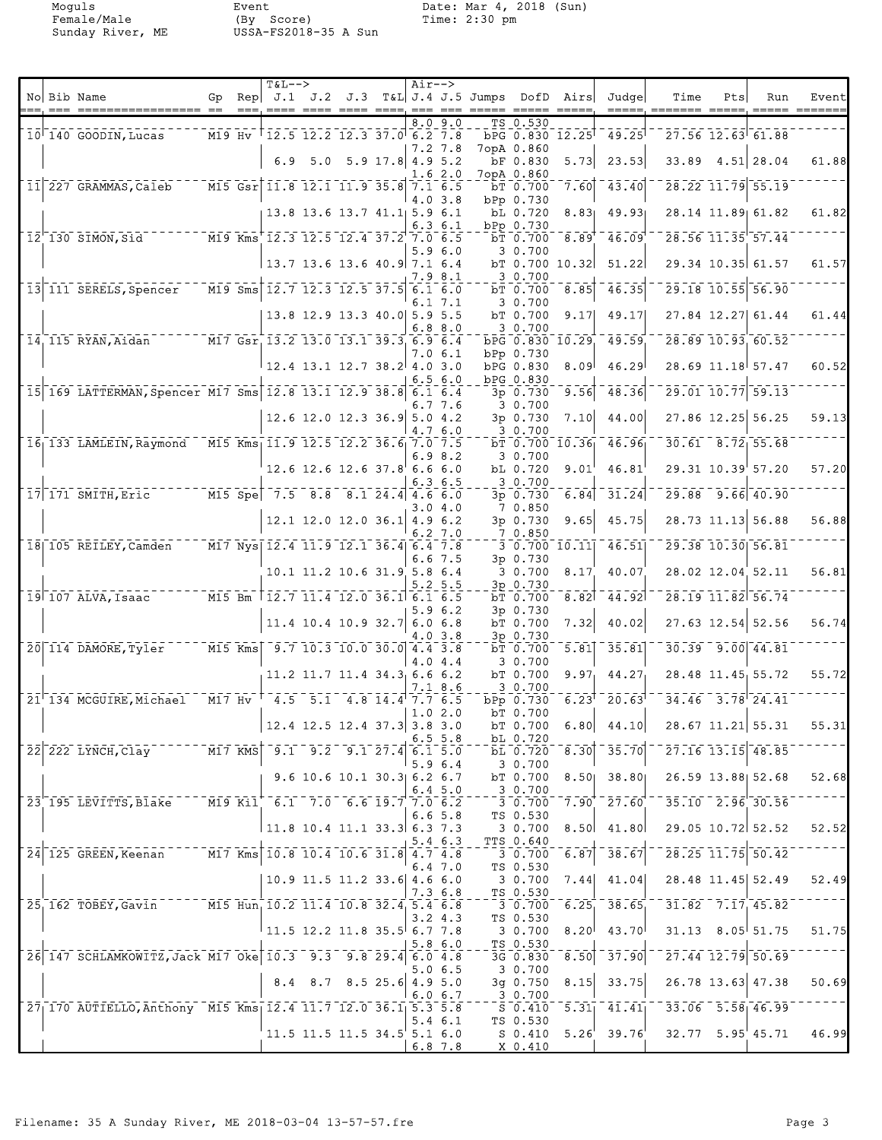Moguls Event Date: Mar 4, 2018 (Sun)<br>Female/Male (By Score) Time: 2:30 pm<br>Sunday River, ME USSA-FS2018-35 A Sun Female/Male (By Score) Time: 2:30 pm Sunday River, ME USSA-FS2018-35 A Sun

|  |                                                                                                      |           | $T&L--$                                           |         |                               |                    | Air-->             |              |                                                    |                            |                 |                        |                         |                        |                                             |       |
|--|------------------------------------------------------------------------------------------------------|-----------|---------------------------------------------------|---------|-------------------------------|--------------------|--------------------|--------------|----------------------------------------------------|----------------------------|-----------------|------------------------|-------------------------|------------------------|---------------------------------------------|-------|
|  | No Bib Name                                                                                          | Gp        |                                                   |         |                               |                    |                    |              | Rep $J.1$ $J.2$ $J.3$ $T&L$ $J.4$ $J.5$ Jumps DofD |                            | Airs            | Judgel                 | Time                    | Pts                    | Run                                         | Event |
|  | $10^{\dagger}$ 140 GOODIN, Lucas                                                                     |           | $MT9$ Hv $T12.5$ 12.2 12.3 37.0 6.2 7.8           |         |                               |                    | 8.O                | 9.0          |                                                    | TS 0.530                   | bPG 0.830 12.25 | 49.25                  |                         |                        | $27.56$ $12.63$ 61.88                       |       |
|  |                                                                                                      |           |                                                   | 6.9 5.0 |                               | $5.9$ 17.8 4.9 5.2 | 7.2 7.8            |              |                                                    | 7opA 0.860<br>bF 0.830     | 5.73            | 23.53                  | 33.89                   |                        | $4.51$ 28.04                                | 61.88 |
|  | 11 227 GRAMMAS, Caleb                                                                                |           | $\overline{M15}$ Gsr 11.8 12.1 11.9 35.8 7.1 6.5  |         |                               |                    | 1.6 2.0            |              |                                                    | 7opA 0.860<br>bT 0.700     | 7.60            | 43.40                  |                         |                        | $\overline{28.22}$ $\overline{11.79}$ 55.19 |       |
|  |                                                                                                      |           |                                                   |         | 13.8 13.6 13.7 41.1 5.9 6.1   |                    | 4.03.8             |              |                                                    | bPp 0.730<br>bL 0.720      | 8.83            | 49.93                  |                         |                        | 28.14 11.89 61.82                           | 61.82 |
|  | $12$ <sup><math>-130</math></sup> SIMON, Sid                                                         |           | M19 Kms 12.3 12.5 12.4 37.2 7.0 6.5               |         |                               |                    |                    | 6.3 6.1      |                                                    | bPp 0.730<br>bT 0.700      | 8.89            | 46.09                  |                         | 28.56 11.35 57.44      |                                             |       |
|  |                                                                                                      |           |                                                   |         |                               |                    | 5.96.0             |              |                                                    | 3 0.700                    |                 |                        |                         |                        | 29.34 10.35 61.57                           |       |
|  |                                                                                                      |           | $13.7$ 13.6 13.6 40.9 7.1 6.4                     |         |                               |                    | 7.9 8.1            |              |                                                    | 3 0.700                    | bT 0.700 10.32  | 51.22                  |                         |                        |                                             | 61.57 |
|  | 13 111 SERELS, Spencer                                                                               |           | M19 Sms 12.7 12.3 12.5 37.5 6.1 6.0               |         |                               |                    |                    | 6.1 7.1      |                                                    | bT 0.700<br>3 0.700        | 8.85            | 46.35                  |                         | 29.18 10.55 56.90      |                                             |       |
|  |                                                                                                      |           |                                                   |         | 13.8 12.9 13.3 40.0 5.9 5.5   |                    | 6.88.0             |              |                                                    | bT 0.700<br>3 0.700        | 9.17            | 49.17                  |                         | 27.84 12.27 61.44      |                                             | 61.44 |
|  | 14 115 RYAN, Aidan                                                                                   |           | M17 Gsr, 13.2 13.0 13.1 39.3 6.9 6.4              |         |                               |                    |                    | 7.0 6.1      |                                                    | bPp 0.730                  | bPG 0.830 10.29 | 49.59                  |                         |                        | 28.89 10.93 60.52                           |       |
|  |                                                                                                      |           |                                                   |         | 12.4 13.1 12.7 38.2 4.0 3.0   |                    | 6.56.0             |              |                                                    | bPG 0.830<br>bPG 0.830     | 8.09            | 46.29                  |                         |                        | 28.69 11.18 57.47                           | 60.52 |
|  | 15 169 LATTERMAN, Spencer M17 Sms 12.8 13.1 12.9 38.8 6.1 6.4                                        |           |                                                   |         |                               |                    |                    | 6.7 7.6      |                                                    | 3p 0.730<br>3 0.700        | 9.56            | 48.36                  |                         | 29.01 10.77 59.13      |                                             |       |
|  |                                                                                                      |           |                                                   |         | $12.6$ 12.0 12.3 36.9         |                    | 5.04.2<br>4.7 6.0  |              |                                                    | 3p 0.730<br>3 0.700        | 7.10            | 44.00                  |                         |                        | 27.86 12.25 56.25                           | 59.13 |
|  | $16$ <sub>1</sub> 133 LAMLEIN, Raymond M15 Kms <sub>1</sub> 11.9 12.5 12.2 36.6 <sub>1</sub> 7.0 7.5 |           |                                                   |         |                               |                    |                    | 6.98.2       |                                                    | 3 0.700                    | bT 0.700 10.36  | 46.96                  |                         |                        | $30.61 - 8.72$ 55.68                        |       |
|  |                                                                                                      |           |                                                   |         | $12.6$ 12.6 12.6 37.8 6.6 6.0 |                    |                    | 6.3 6.5      |                                                    | bL 0.720<br>3 0.700        | 9.01            | 46.81                  |                         |                        | 29.31 10.39 57.20                           | 57.20 |
|  | $17$ 171 SMITH, Eric M15 Spe 7.5 8.8 8.1 24.4 4.6 6.0                                                |           |                                                   |         |                               |                    |                    |              |                                                    | 3p 0.730                   | 6.84            | 31.24                  | 29.88                   |                        | $-9.66$ 40.90                               |       |
|  |                                                                                                      |           |                                                   |         | $12.1$ 12.0 12.0 36.1         |                    | 3.0 4.0<br>4.9 6.2 |              |                                                    | 7 0.850<br>3p 0.730        | 9.65            | 45.75                  |                         |                        | 28.73 11.13 56.88                           | 56.88 |
|  | 18 105 REILEY, Camden                                                                                |           | M17 Nys 12.4 11.9 12.1 36.4 6.4 7.8               |         |                               |                    | 6.2, 7.0           |              |                                                    | 7 0.850                    | 3, 0.700, 10.11 | 46.51                  |                         |                        | 29.38 10.30 56.81                           |       |
|  |                                                                                                      |           |                                                   |         | 10.1 11.2 10.6 31.9 5.8 6.4   |                    | 6.67.5             |              |                                                    | 3p 0.730<br>3 0.700        | 8.17            | 40.07                  |                         |                        | 28.02 12.04 52.11                           | 56.81 |
|  | 19 107 ALVA, Isaac M15 Bm 12.7 11.4 12.0 36.1 6.1 6.5                                                |           |                                                   |         |                               |                    | 5.25.5             |              |                                                    | 3p 0.730<br>bT 0.700       | 8.82            | 44.92                  |                         |                        | 28.19 11.82 56.74                           |       |
|  |                                                                                                      |           |                                                   |         | $11.4$ 10.4 10.9 32.7         |                    | 5.9 6.2<br>6.0 6.8 |              |                                                    | 3p 0.730<br>bT 0.700       | 7.32            | 40.02                  |                         |                        | 27.63 12.54 52.56                           | 56.74 |
|  | $20$ 114 DAMORE, Tyler                                                                               | $M15$ Kms |                                                   |         | $9.7$ 10.3 10.0 30.0 4.4 3.8  |                    | 4.0 3.8            |              |                                                    | 3p 0.730<br>bT 0.700       | 5.81            | 35.81                  |                         |                        | $30.39 - 9.00 - 44.81$                      |       |
|  |                                                                                                      |           |                                                   |         | $11.2$ 11.7 11.4 34.3 6.6 6.2 |                    | 4.0 4.4            |              |                                                    | 3 0.700<br>bT 0.700        | 9.97            | 44.27                  |                         |                        | 28.48 11.45 55.72                           | 55.72 |
|  | 21 134 MCGUIRE, Michael                                                                              |           | $M17$ Hv $^{+}$ 4.5 5.1 4.8 14.4 7.7 6.5          |         |                               |                    |                    | 7.1 8.6      |                                                    | 3 0.700<br>bPp 0.730       | 6.23            | 20.63                  |                         | $34.46$ $3.78$ $24.41$ |                                             |       |
|  |                                                                                                      |           |                                                   |         | $12.4$ 12.5 12.4 37.3 3.8 3.0 |                    | 1.02.0             |              |                                                    | bT 0.700<br>bT 0.700       |                 | $6.80 \mid 44.10 \mid$ |                         |                        | 28.67 11.21 55.31                           | 55.31 |
|  | 22 222 LYNCH, Clay ------- M17 KMS 9.1 9.2 9.1 27.4 6.1 5.0                                          |           |                                                   |         |                               |                    |                    | $6.5\,5.8$   |                                                    | bL 0.720<br>bL 0.720       | 8.30            | $-35.70$               |                         |                        | $27.16$ $13.15$ $48.85$                     |       |
|  |                                                                                                      |           |                                                   |         | 9.6 10.6 10.1 30.3 6.2 6.7    |                    | 5.96.4             |              |                                                    | 3 0.700                    |                 |                        |                         |                        |                                             | 52.68 |
|  |                                                                                                      |           |                                                   |         |                               |                    |                    | $6.4\;\,5.0$ |                                                    | bT 0.700<br>3 0.700        | 8.50            | 38.80                  |                         |                        | 26.59 13.88 52.68                           |       |
|  | 23 195 LEVITTS, Blake                                                                                |           | $1 - 20 = 6.1$ $- 7.0$ $- 6.6$ $19.7$ $7.0$ $6.2$ |         |                               |                    |                    | 6.6 5.8      |                                                    | 3 0.700<br>TS 0.530        | 7.90            | $-27.60$               | $-35.10 - 2.96 - 30.56$ |                        |                                             |       |
|  |                                                                                                      |           | $ 11.8 \t10.4 \t11.1 \t33.3  6.3 \t7.3$           |         |                               |                    |                    | 5.46.3       |                                                    | 30.700<br><b>TTS 0.640</b> | 8.50            | 41.80                  |                         |                        | 29.05 10.72 52.52                           | 52.52 |
|  | 24 125 GREEN, Keenan M17 Kms 10.8 10.4 10.6 31.8 4.7 4.8                                             |           |                                                   |         |                               |                    |                    | 6.4 7.0      |                                                    | 3 0.700<br>TS 0.530        | 6.87            | 38.67                  |                         |                        | $\overline{28.25}$ 11.75 50.42              |       |
|  |                                                                                                      |           |                                                   |         | $10.9$ 11.5 11.2 33.6 4.6 6.0 |                    | 7.36.8             |              |                                                    | 3 0.700<br>TS 0.530        | 7.44            | 41.04                  |                         |                        | 28.48 11.45 52.49                           | 52.49 |
|  | 25 162 TOBEY, Gavin M15 Hun, 10.2 11.4 10.8 32.4 5.4 6.8                                             |           |                                                   |         |                               |                    | 3.24.3             |              |                                                    | $-30.700$<br>TS 0.530      | 6.25            | 38.65                  |                         |                        | $31.82 - 7.17$ 45.82                        |       |
|  |                                                                                                      |           | $\frac{1}{11.5}$ 12.2 11.8 35.5 6.7 7.8           |         |                               |                    | 5.86.0             |              |                                                    | 3 0.700<br>TS 0.530        | 8.20            | 43.70                  |                         |                        | $31.13$ $8.05$ 51.75                        | 51.75 |
|  | 26 147 SCHLAMKOWITZ, Jack M17 Oke 10.3 9.3 9.8 29.4 6.0 4.8                                          |           |                                                   |         |                               |                    |                    | 5.0 6.5      |                                                    | 3G 0.830<br>3 0.700        | 8.50            | $\bar{3}\bar{7}.90]$   | $-27.44$ 12.79 50.69    |                        |                                             |       |
|  |                                                                                                      |           |                                                   |         | 8.4 8.7 8.5 25.6 4.9 5.0      |                    | 6.06.7             |              |                                                    | 3g 0.750<br>3 0.700        | 8.15            | 33.75                  | 26.78 13.63 47.38       |                        |                                             | 50.69 |
|  | 27 170 AUTIELLO, Anthony M15 Kms 12.4 11.7 12.0 36.1 5.3 5.8                                         |           |                                                   |         |                               |                    |                    |              |                                                    | S 0.410                    | $\sqrt{-5.31}$  | 41.41                  | $-33.06 - 5.58$ 46.99   |                        |                                             |       |
|  |                                                                                                      |           |                                                   |         | $11.5$ 11.5 11.5 34.5 5.1 6.0 |                    |                    | $5.4\;6.1$   |                                                    | TS 0.530<br>$S_0.410$      | 5.26'           | 39.76                  | 32.77 5.95 45.71        |                        |                                             | 46.99 |
|  |                                                                                                      |           |                                                   |         |                               |                    | $6.8$ 7.8          |              |                                                    | X 0.410                    |                 |                        |                         |                        |                                             |       |